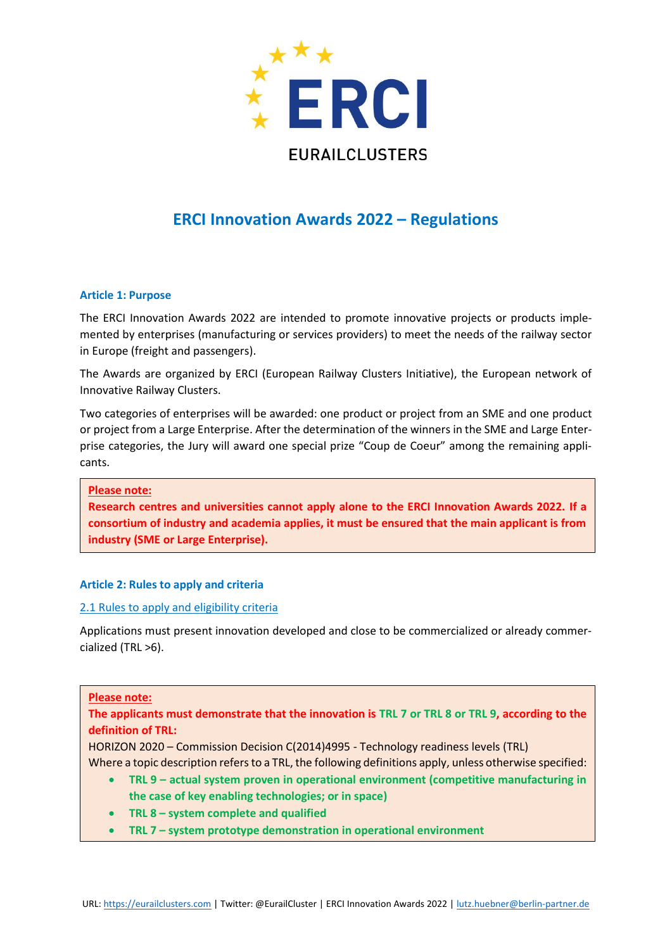

# **ERCI Innovation Awards 2022 – Regulations**

# **Article 1: Purpose**

The ERCI Innovation Awards 2022 are intended to promote innovative projects or products implemented by enterprises (manufacturing or services providers) to meet the needs of the railway sector in Europe (freight and passengers).

The Awards are organized by ERCI (European Railway Clusters Initiative), the European network of Innovative Railway Clusters.

Two categories of enterprises will be awarded: one product or project from an SME and one product or project from a Large Enterprise. After the determination of the winners in the SME and Large Enterprise categories, the Jury will award one special prize "Coup de Coeur" among the remaining applicants.

**Please note:**

**Research centres and universities cannot apply alone to the ERCI Innovation Awards 2022. If a consortium of industry and academia applies, it must be ensured that the main applicant is from industry (SME or Large Enterprise).**

# **Article 2: Rules to apply and criteria**

#### 2.1 Rules to apply and eligibility criteria

Applications must present innovation developed and close to be commercialized or already commercialized (TRL >6).

#### **Please note:**

# **The applicants must demonstrate that the innovation is TRL 7 or TRL 8 or TRL 9, according to the definition of TRL:**

HORIZON 2020 – Commission Decision C(2014)4995 - Technology readiness levels (TRL)

- Where a topic description refers to a TRL, the following definitions apply, unless otherwise specified: • **TRL 9 – actual system proven in operational environment (competitive manufacturing in** 
	- **the case of key enabling technologies; or in space)**
	- **TRL 8 – system complete and qualified**
	- **TRL 7 – system prototype demonstration in operational environment**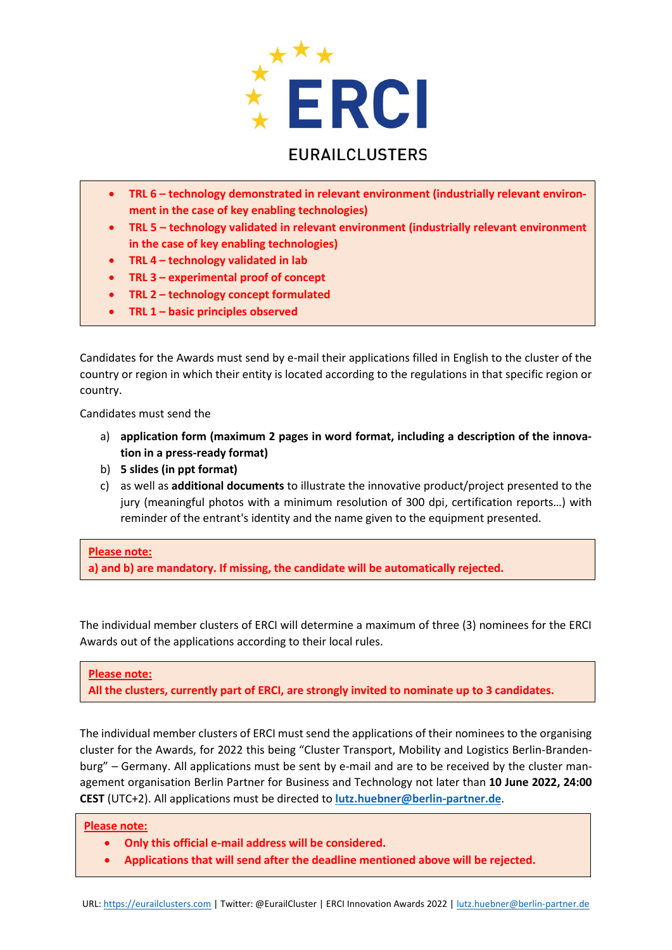

# **EURAILCLUSTERS**

- TRL 6 technology demonstrated in relevant environment (industrially relevant environ**ment in the case of key enabling technologies)**
- **TRL 5 – technology validated in relevant environment (industrially relevant environment in the case of key enabling technologies)**
- **TRL 4 – technology validated in lab**
- **TRL 3 – experimental proof of concept**
- **TRL 2 – technology concept formulated**
- **TRL 1 – basic principles observed**

Candidates for the Awards must send by e-mail their applications filled in English to the cluster of the country or region in which their entity is located according to the regulations in that specific region or country.

Candidates must send the

- a) **application form (maximum 2 pages in word format, including a description of the innovation in a press-ready format)**
- b) **5 slides (in ppt format)**
- c) as well as **additional documents** to illustrate the innovative product/project presented to the jury (meaningful photos with a minimum resolution of 300 dpi, certification reports…) with reminder of the entrant's identity and the name given to the equipment presented.

**Please note: a) and b) are mandatory. If missing, the candidate will be automatically rejected.**

The individual member clusters of ERCI will determine a maximum of three (3) nominees for the ERCI Awards out of the applications according to their local rules.

**Please note:**

**All the clusters, currently part of ERCI, are strongly invited to nominate up to 3 candidates.**

The individual member clusters of ERCI must send the applications of their nominees to the organising cluster for the Awards, for 2022 this being "Cluster Transport, Mobility and Logistics Berlin-Brandenburg" – Germany. All applications must be sent by e-mail and are to be received by the cluster management organisation Berlin Partner for Business and Technology not later than **10 June 2022, 24:00 CEST** (UTC+2). All applications must be directed to **[lutz.huebner@berlin-partner.de](mailto:lutz.huebner@berlin-partner.de)**.

# **Please note:**

- **Only this official e-mail address will be considered.**
- **Applications that will send after the deadline mentioned above will be rejected.**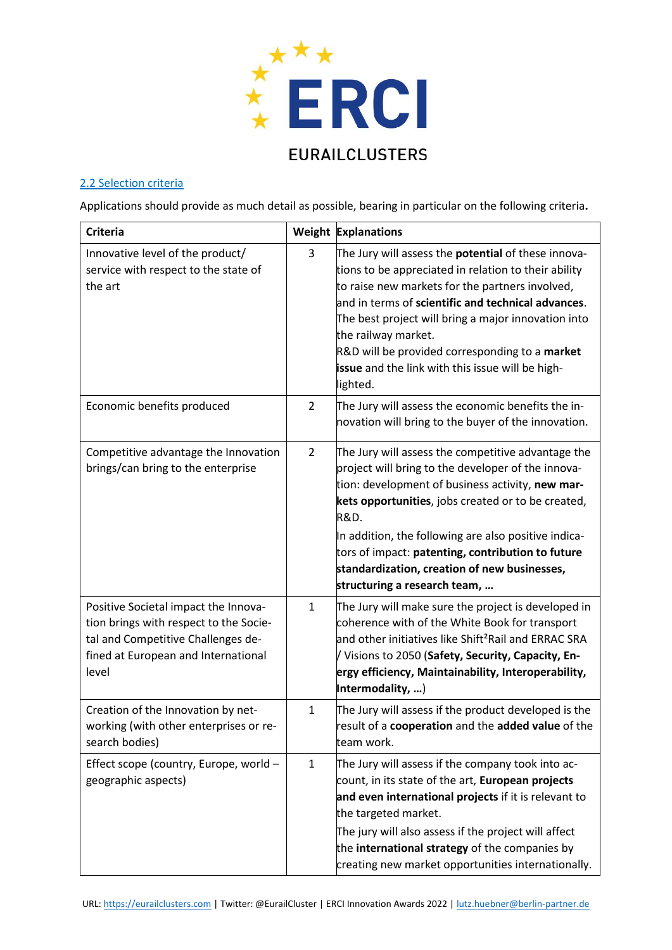

# 2.2 Selection criteria

Applications should provide as much detail as possible, bearing in particular on the following criteria**.**

| <b>Criteria</b>                                                                                                                                                      |                | <b>Weight Explanations</b>                                                                                                                                                                                                                                                                                                                                                                                                         |
|----------------------------------------------------------------------------------------------------------------------------------------------------------------------|----------------|------------------------------------------------------------------------------------------------------------------------------------------------------------------------------------------------------------------------------------------------------------------------------------------------------------------------------------------------------------------------------------------------------------------------------------|
| Innovative level of the product/<br>service with respect to the state of<br>the art                                                                                  | 3              | The Jury will assess the <b>potential</b> of these innova-<br>tions to be appreciated in relation to their ability<br>to raise new markets for the partners involved,<br>and in terms of scientific and technical advances.<br>The best project will bring a major innovation into<br>the railway market.<br>R&D will be provided corresponding to a market<br>issue and the link with this issue will be high-<br>lighted.        |
| Economic benefits produced                                                                                                                                           | $\overline{2}$ | The Jury will assess the economic benefits the in-<br>novation will bring to the buyer of the innovation.                                                                                                                                                                                                                                                                                                                          |
| Competitive advantage the Innovation<br>brings/can bring to the enterprise                                                                                           | $\overline{2}$ | The Jury will assess the competitive advantage the<br>project will bring to the developer of the innova-<br>tion: development of business activity, new mar-<br>kets opportunities, jobs created or to be created,<br><b>R&amp;D.</b><br>In addition, the following are also positive indica-<br>tors of impact: patenting, contribution to future<br>standardization, creation of new businesses,<br>structuring a research team, |
| Positive Societal impact the Innova-<br>tion brings with respect to the Socie-<br>tal and Competitive Challenges de-<br>fined at European and International<br>level | $\mathbf{1}$   | The Jury will make sure the project is developed in<br>coherence with of the White Book for transport<br>and other initiatives like Shift <sup>2</sup> Rail and ERRAC SRA<br>V Visions to 2050 (Safety, Security, Capacity, En-<br>ergy efficiency, Maintainability, Interoperability,<br>Intermodality, )                                                                                                                         |
| Creation of the Innovation by net-<br>working (with other enterprises or re-<br>search bodies)                                                                       | $\mathbf{1}$   | The Jury will assess if the product developed is the<br>result of a cooperation and the added value of the<br>team work.                                                                                                                                                                                                                                                                                                           |
| Effect scope (country, Europe, world -<br>geographic aspects)                                                                                                        | $\mathbf{1}$   | The Jury will assess if the company took into ac-<br>count, in its state of the art, European projects<br>and even international projects if it is relevant to<br>the targeted market.<br>The jury will also assess if the project will affect<br>the international strategy of the companies by<br>creating new market opportunities internationally.                                                                             |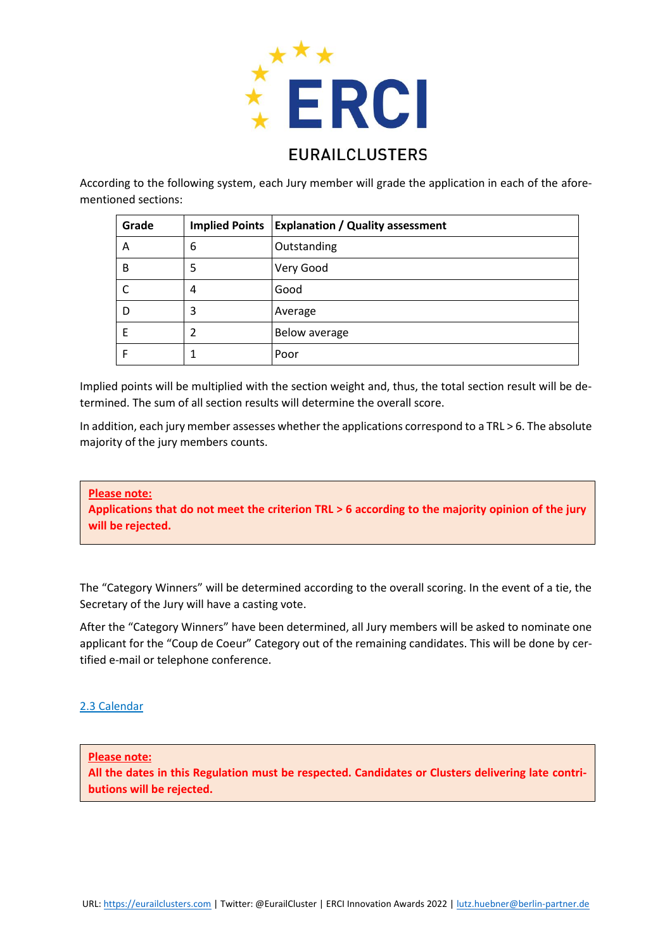

According to the following system, each Jury member will grade the application in each of the aforementioned sections:

| Grade |   | Implied Points   Explanation / Quality assessment |
|-------|---|---------------------------------------------------|
| A     | 6 | Outstanding                                       |
| B     | 5 | Very Good                                         |
|       | 4 | Good                                              |
|       | 3 | Average                                           |
| F     | 2 | <b>Below average</b>                              |
|       |   | Poor                                              |

Implied points will be multiplied with the section weight and, thus, the total section result will be determined. The sum of all section results will determine the overall score.

In addition, each jury member assesses whether the applications correspond to a TRL > 6. The absolute majority of the jury members counts.

**Please note:**

**Applications that do not meet the criterion TRL > 6 according to the majority opinion of the jury will be rejected.**

The "Category Winners" will be determined according to the overall scoring. In the event of a tie, the Secretary of the Jury will have a casting vote.

After the "Category Winners" have been determined, all Jury members will be asked to nominate one applicant for the "Coup de Coeur" Category out of the remaining candidates. This will be done by certified e-mail or telephone conference.

# 2.3 Calendar

**Please note:**

**All the dates in this Regulation must be respected. Candidates or Clusters delivering late contributions will be rejected.**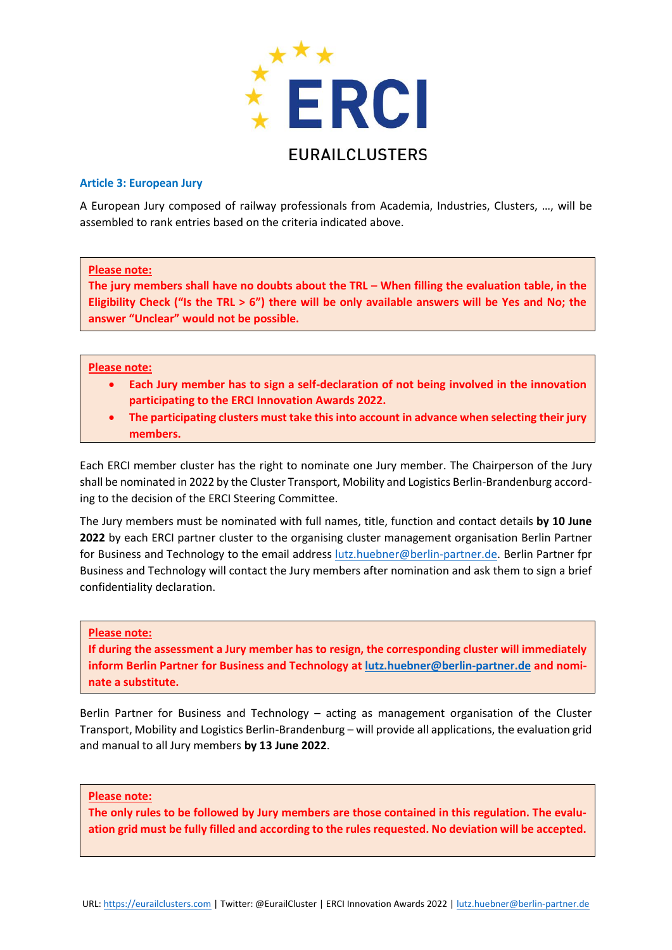

#### **Article 3: European Jury**

A European Jury composed of railway professionals from Academia, Industries, Clusters, …, will be assembled to rank entries based on the criteria indicated above.

#### **Please note:**

**The jury members shall have no doubts about the TRL – When filling the evaluation table, in the Eligibility Check ("Is the TRL > 6") there will be only available answers will be Yes and No; the answer "Unclear" would not be possible.**

#### **Please note:**

- **Each Jury member has to sign a self-declaration of not being involved in the innovation participating to the ERCI Innovation Awards 2022.**
- **The participating clusters must take this into account in advance when selecting their jury members.**

Each ERCI member cluster has the right to nominate one Jury member. The Chairperson of the Jury shall be nominated in 2022 by the Cluster Transport, Mobility and Logistics Berlin-Brandenburg according to the decision of the ERCI Steering Committee.

The Jury members must be nominated with full names, title, function and contact details **by 10 June 2022** by each ERCI partner cluster to the organising cluster management organisation Berlin Partner for Business and Technology to the email address [lutz.huebner@berlin-partner.de.](mailto:lutz.huebner@berlin-partner.de) Berlin Partner fpr Business and Technology will contact the Jury members after nomination and ask them to sign a brief confidentiality declaration.

# **Please note:**

**If during the assessment a Jury member has to resign, the corresponding cluster will immediately inform Berlin Partner for Business and Technology at [lutz.huebner@berlin-partner.de](mailto:lutz.huebner@berlin-partner.de) and nominate a substitute.**

Berlin Partner for Business and Technology – acting as management organisation of the Cluster Transport, Mobility and Logistics Berlin-Brandenburg – will provide all applications, the evaluation grid and manual to all Jury members **by 13 June 2022**.

#### **Please note:**

**The only rules to be followed by Jury members are those contained in this regulation. The evaluation grid must be fully filled and according to the rules requested. No deviation will be accepted.**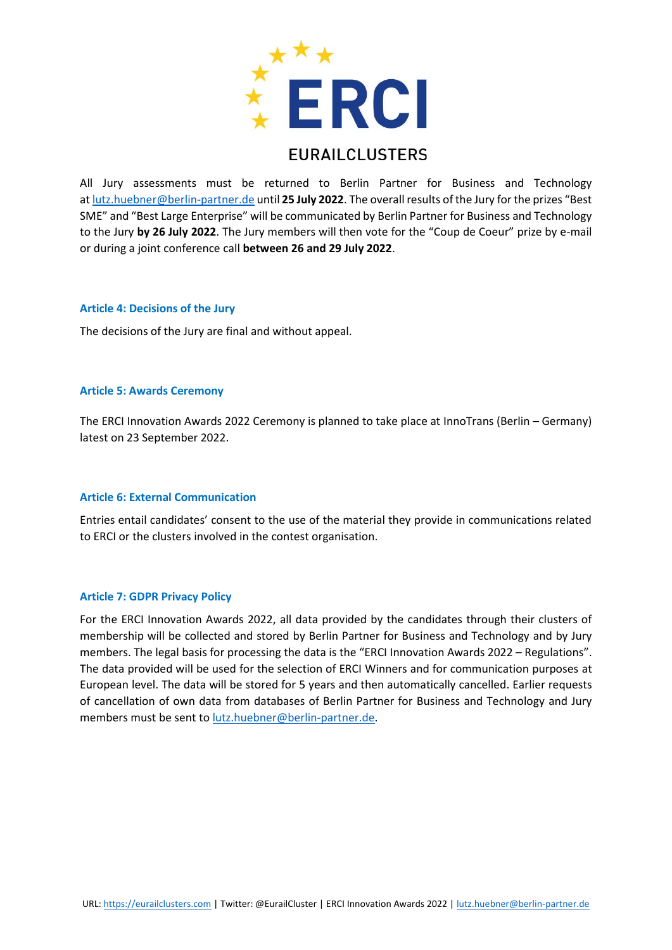

All Jury assessments must be returned to Berlin Partner for Business and Technology at [lutz.huebner@berlin-partner.de](mailto:lutz.huebner@berlin-partner.de) until **25 July 2022**. The overall results of the Jury for the prizes "Best SME" and "Best Large Enterprise" will be communicated by Berlin Partner for Business and Technology to the Jury **by 26 July 2022**. The Jury members will then vote for the "Coup de Coeur" prize by e-mail or during a joint conference call **between 26 and 29 July 2022**.

#### **Article 4: Decisions of the Jury**

The decisions of the Jury are final and without appeal.

#### **Article 5: Awards Ceremony**

The ERCI Innovation Awards 2022 Ceremony is planned to take place at InnoTrans (Berlin – Germany) latest on 23 September 2022.

#### **Article 6: External Communication**

Entries entail candidates' consent to the use of the material they provide in communications related to ERCI or the clusters involved in the contest organisation.

# **Article 7: GDPR Privacy Policy**

For the ERCI Innovation Awards 2022, all data provided by the candidates through their clusters of membership will be collected and stored by Berlin Partner for Business and Technology and by Jury members. The legal basis for processing the data is the "ERCI Innovation Awards 2022 – Regulations". The data provided will be used for the selection of ERCI Winners and for communication purposes at European level. The data will be stored for 5 years and then automatically cancelled. Earlier requests of cancellation of own data from databases of Berlin Partner for Business and Technology and Jury members must be sent to [lutz.huebner@berlin-partner.de.](mailto:lutz.huebner@berlin-partner.de)